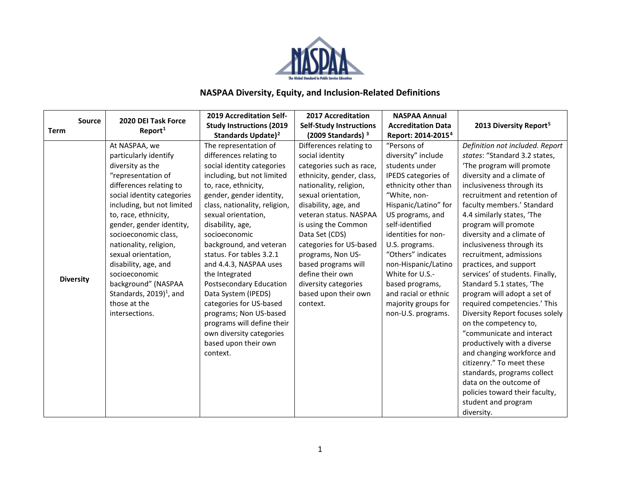

## **NASPAA Diversity, Equity, and Inclusion-Related Definitions**

| <b>Source</b>    | 2020 DEI Task Force                  | <b>2019 Accreditation Self-</b> | 2017 Accreditation              | <b>NASPAA Annual</b>           |                                    |
|------------------|--------------------------------------|---------------------------------|---------------------------------|--------------------------------|------------------------------------|
| <b>Term</b>      | Report <sup>1</sup>                  | <b>Study Instructions (2019</b> | <b>Self-Study Instructions</b>  | <b>Accreditation Data</b>      | 2013 Diversity Report <sup>5</sup> |
|                  |                                      | Standards Update) <sup>2</sup>  | $(2009$ Standards) <sup>3</sup> | Report: 2014-2015 <sup>4</sup> |                                    |
|                  | At NASPAA, we                        | The representation of           | Differences relating to         | "Persons of                    | Definition not included. Report    |
|                  | particularly identify                | differences relating to         | social identity                 | diversity" include             | states: "Standard 3.2 states,      |
|                  | diversity as the                     | social identity categories      | categories such as race,        | students under                 | The program will promote           |
|                  | "representation of                   | including, but not limited      | ethnicity, gender, class,       | IPEDS categories of            | diversity and a climate of         |
|                  | differences relating to              | to, race, ethnicity,            | nationality, religion,          | ethnicity other than           | inclusiveness through its          |
|                  | social identity categories           | gender, gender identity,        | sexual orientation,             | "White, non-                   | recruitment and retention of       |
|                  | including, but not limited           | class, nationality, religion,   | disability, age, and            | Hispanic/Latino" for           | faculty members.' Standard         |
|                  | to, race, ethnicity,                 | sexual orientation,             | veteran status. NASPAA          | US programs, and               | 4.4 similarly states, 'The         |
|                  | gender, gender identity,             | disability, age,                | is using the Common             | self-identified                | program will promote               |
|                  | socioeconomic class,                 | socioeconomic                   | Data Set (CDS)                  | identities for non-            | diversity and a climate of         |
|                  | nationality, religion,               | background, and veteran         | categories for US-based         | U.S. programs.                 | inclusiveness through its          |
|                  | sexual orientation,                  | status. For tables 3.2.1        | programs, Non US-               | "Others" indicates             | recruitment, admissions            |
|                  | disability, age, and                 | and 4.4.3, NASPAA uses          | based programs will             | non-Hispanic/Latino            | practices, and support             |
| <b>Diversity</b> | socioeconomic                        | the Integrated                  | define their own                | White for U.S.-                | services' of students. Finally,    |
|                  | background" (NASPAA                  | Postsecondary Education         | diversity categories            | based programs,                | Standard 5.1 states, 'The          |
|                  | Standards, $2019$ <sup>1</sup> , and | Data System (IPEDS)             | based upon their own            | and racial or ethnic           | program will adopt a set of        |
|                  | those at the                         | categories for US-based         | context.                        | majority groups for            | required competencies.' This       |
|                  | intersections.                       | programs; Non US-based          |                                 | non-U.S. programs.             | Diversity Report focuses solely    |
|                  |                                      | programs will define their      |                                 |                                | on the competency to,              |
|                  |                                      | own diversity categories        |                                 |                                | "communicate and interact          |
|                  |                                      | based upon their own            |                                 |                                | productively with a diverse        |
|                  |                                      | context.                        |                                 |                                | and changing workforce and         |
|                  |                                      |                                 |                                 |                                | citizenry." To meet these          |
|                  |                                      |                                 |                                 |                                | standards, programs collect        |
|                  |                                      |                                 |                                 |                                | data on the outcome of             |
|                  |                                      |                                 |                                 |                                | policies toward their faculty,     |
|                  |                                      |                                 |                                 |                                | student and program                |
|                  |                                      |                                 |                                 |                                | diversity.                         |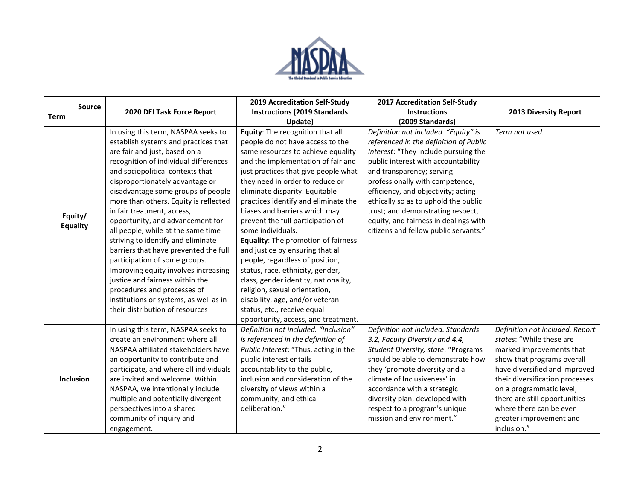

|                            |                                        | <b>2019 Accreditation Self-Study</b>  | <b>2017 Accreditation Self-Study</b>   |                                 |
|----------------------------|----------------------------------------|---------------------------------------|----------------------------------------|---------------------------------|
| Source<br><b>Term</b>      | 2020 DEI Task Force Report             | <b>Instructions (2019 Standards</b>   | <b>Instructions</b>                    | <b>2013 Diversity Report</b>    |
|                            |                                        | Update)                               | (2009 Standards)                       |                                 |
|                            | In using this term, NASPAA seeks to    | Equity: The recognition that all      | Definition not included. "Equity" is   | Term not used.                  |
|                            | establish systems and practices that   | people do not have access to the      | referenced in the definition of Public |                                 |
|                            | are fair and just, based on a          | same resources to achieve equality    | Interest: "They include pursuing the   |                                 |
|                            | recognition of individual differences  | and the implementation of fair and    | public interest with accountability    |                                 |
|                            | and sociopolitical contexts that       | just practices that give people what  | and transparency; serving              |                                 |
|                            | disproportionately advantage or        | they need in order to reduce or       | professionally with competence,        |                                 |
|                            | disadvantage some groups of people     | eliminate disparity. Equitable        | efficiency, and objectivity; acting    |                                 |
|                            | more than others. Equity is reflected  | practices identify and eliminate the  | ethically so as to uphold the public   |                                 |
| Equity/<br><b>Equality</b> | in fair treatment, access,             | biases and barriers which may         | trust; and demonstrating respect,      |                                 |
|                            | opportunity, and advancement for       | prevent the full participation of     | equity, and fairness in dealings with  |                                 |
|                            | all people, while at the same time     | some individuals.                     | citizens and fellow public servants."  |                                 |
|                            | striving to identify and eliminate     | Equality: The promotion of fairness   |                                        |                                 |
|                            | barriers that have prevented the full  | and justice by ensuring that all      |                                        |                                 |
|                            | participation of some groups.          | people, regardless of position,       |                                        |                                 |
|                            | Improving equity involves increasing   | status, race, ethnicity, gender,      |                                        |                                 |
|                            | justice and fairness within the        | class, gender identity, nationality,  |                                        |                                 |
|                            | procedures and processes of            | religion, sexual orientation,         |                                        |                                 |
|                            | institutions or systems, as well as in | disability, age, and/or veteran       |                                        |                                 |
|                            | their distribution of resources        | status, etc., receive equal           |                                        |                                 |
|                            |                                        | opportunity, access, and treatment.   |                                        |                                 |
|                            | In using this term, NASPAA seeks to    | Definition not included. "Inclusion"  | Definition not included. Standards     | Definition not included. Report |
| <b>Inclusion</b>           | create an environment where all        | is referenced in the definition of    | 3.2, Faculty Diversity and 4.4,        | states: "While these are        |
|                            | NASPAA affiliated stakeholders have    | Public Interest: "Thus, acting in the | Student Diversity, state: "Programs    | marked improvements that        |
|                            | an opportunity to contribute and       | public interest entails               | should be able to demonstrate how      | show that programs overall      |
|                            | participate, and where all individuals | accountability to the public,         | they 'promote diversity and a          | have diversified and improved   |
|                            | are invited and welcome. Within        | inclusion and consideration of the    | climate of Inclusiveness' in           | their diversification processes |
|                            | NASPAA, we intentionally include       | diversity of views within a           | accordance with a strategic            | on a programmatic level,        |
|                            | multiple and potentially divergent     | community, and ethical                | diversity plan, developed with         | there are still opportunities   |
|                            | perspectives into a shared             | deliberation."                        | respect to a program's unique          | where there can be even         |
|                            | community of inquiry and               |                                       | mission and environment."              | greater improvement and         |
|                            | engagement.                            |                                       |                                        | inclusion."                     |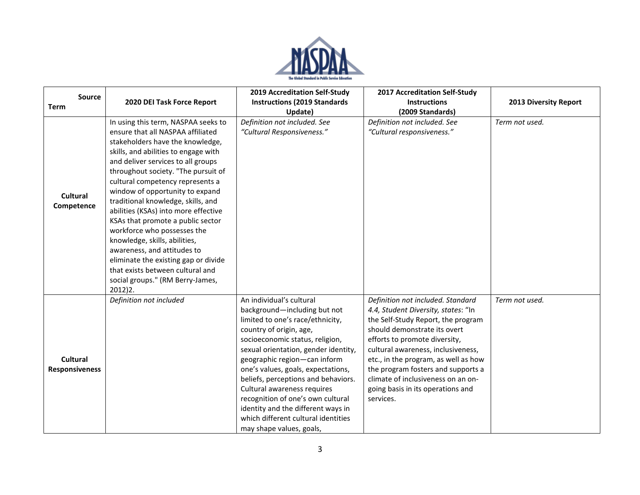

| <b>Source</b>          |                                      | <b>2019 Accreditation Self-Study</b> | <b>2017 Accreditation Self-Study</b> |                              |
|------------------------|--------------------------------------|--------------------------------------|--------------------------------------|------------------------------|
| <b>Term</b>            | 2020 DEI Task Force Report           | <b>Instructions (2019 Standards</b>  | <b>Instructions</b>                  | <b>2013 Diversity Report</b> |
|                        |                                      | Update)                              | (2009 Standards)                     |                              |
|                        | In using this term, NASPAA seeks to  | Definition not included. See         | Definition not included. See         | Term not used.               |
|                        | ensure that all NASPAA affiliated    | "Cultural Responsiveness."           | "Cultural responsiveness."           |                              |
|                        | stakeholders have the knowledge,     |                                      |                                      |                              |
|                        | skills, and abilities to engage with |                                      |                                      |                              |
|                        | and deliver services to all groups   |                                      |                                      |                              |
|                        | throughout society. "The pursuit of  |                                      |                                      |                              |
| Cultural<br>Competence | cultural competency represents a     |                                      |                                      |                              |
|                        | window of opportunity to expand      |                                      |                                      |                              |
|                        | traditional knowledge, skills, and   |                                      |                                      |                              |
|                        | abilities (KSAs) into more effective |                                      |                                      |                              |
|                        | KSAs that promote a public sector    |                                      |                                      |                              |
|                        | workforce who possesses the          |                                      |                                      |                              |
|                        | knowledge, skills, abilities,        |                                      |                                      |                              |
|                        | awareness, and attitudes to          |                                      |                                      |                              |
|                        | eliminate the existing gap or divide |                                      |                                      |                              |
|                        | that exists between cultural and     |                                      |                                      |                              |
|                        | social groups." (RM Berry-James,     |                                      |                                      |                              |
|                        | 2012)2.                              |                                      |                                      |                              |
|                        | Definition not included              | An individual's cultural             | Definition not included. Standard    | Term not used.               |
|                        |                                      | background-including but not         | 4.4, Student Diversity, states: "In  |                              |
|                        |                                      | limited to one's race/ethnicity,     | the Self-Study Report, the program   |                              |
|                        |                                      | country of origin, age,              | should demonstrate its overt         |                              |
|                        |                                      | socioeconomic status, religion,      | efforts to promote diversity,        |                              |
|                        |                                      | sexual orientation, gender identity, | cultural awareness, inclusiveness,   |                              |
| Cultural               |                                      | geographic region-can inform         | etc., in the program, as well as how |                              |
| <b>Responsiveness</b>  |                                      | one's values, goals, expectations,   | the program fosters and supports a   |                              |
|                        |                                      | beliefs, perceptions and behaviors.  | climate of inclusiveness on an on-   |                              |
|                        |                                      | Cultural awareness requires          | going basis in its operations and    |                              |
|                        |                                      | recognition of one's own cultural    | services.                            |                              |
|                        |                                      | identity and the different ways in   |                                      |                              |
|                        |                                      | which different cultural identities  |                                      |                              |
|                        |                                      | may shape values, goals,             |                                      |                              |